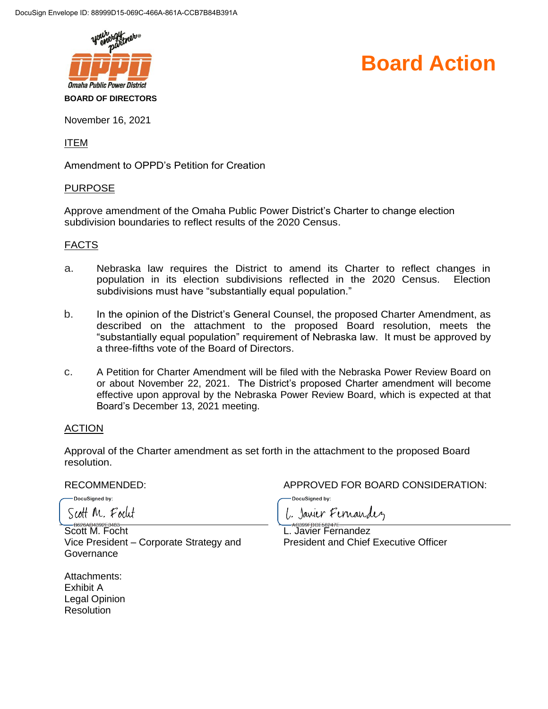

# **Board Action**

November 16, 2021

ITEM

Amendment to OPPD's Petition for Creation

#### PURPOSE

Approve amendment of the Omaha Public Power District's Charter to change election subdivision boundaries to reflect results of the 2020 Census.

#### FACTS

- a. Nebraska law requires the District to amend its Charter to reflect changes in population in its election subdivisions reflected in the 2020 Census. Election subdivisions must have "substantially equal population."
- b. In the opinion of the District's General Counsel, the proposed Charter Amendment, as described on the attachment to the proposed Board resolution, meets the "substantially equal population" requirement of Nebraska law. It must be approved by a three-fifths vote of the Board of Directors.
- c. A Petition for Charter Amendment will be filed with the Nebraska Power Review Board on or about November 22, 2021. The District's proposed Charter amendment will become effective upon approval by the Nebraska Power Review Board, which is expected at that Board's December 13, 2021 meeting.

## ACTION

Approval of the Charter amendment as set forth in the attachment to the proposed Board resolution.

-DocuSigned by: Scott M. Focut

Scott M. Focht Vice President – Corporate Strategy and **Governance** 

Attachments: Exhibit A Legal Opinion **Resolution** 

RECOMMENDED: APPROVED FOR BOARD CONSIDERATION:

DocuSigned by:

1. Janier Fernandez

L. Javier Fernandez President and Chief Executive Officer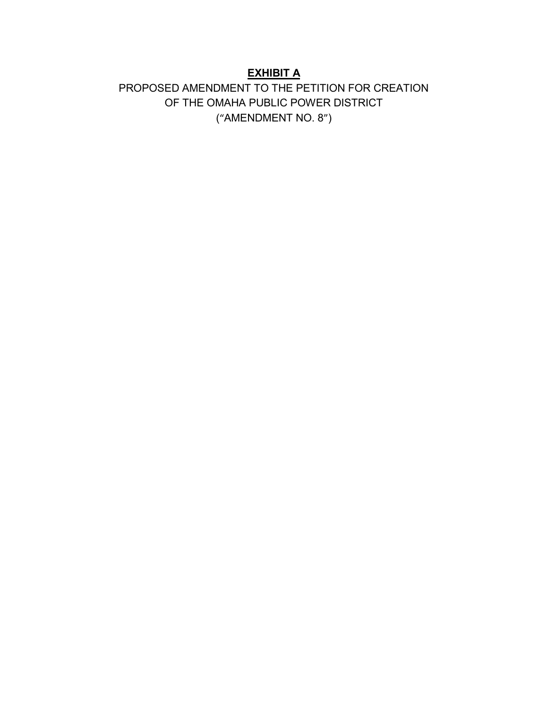# **EXHIBIT A**

# PROPOSED AMENDMENT TO THE PETITION FOR CREATION OF THE OMAHA PUBLIC POWER DISTRICT ("AMENDMENT NO. 8")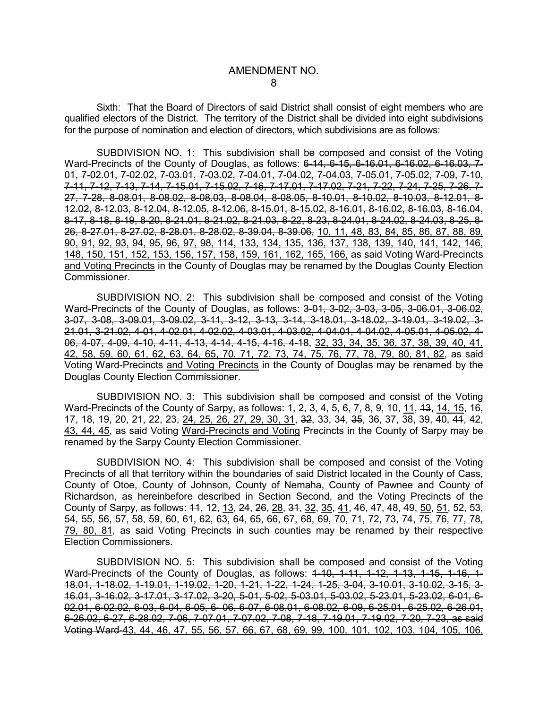Sixth: That the Board of Directors of said District shall consist of eight members who are qualified electors of the District. The territory of the District shall be divided into eight subdivisions for the purpose of nomination and election of directors, which subdivisions are as follows:

SUBDIVISION NO. 1: This subdivision shall be composed and consist of the Voting Ward-Precincts of the County of Douglas, as follows: 6-14, 6-15, 6-16.01, 6-16.02, 6-16.03, 7-01, 7-02.01, 7-02.02, 7-03.01, 7-03.02, 7-04.01, 7-04.02, 7-04.03, 7-05.01, 7-05.02, 7-09, 7-10, 7-11, 7-12, 7-13, 7-14, 7-15.01, 7-15.02, 7-16, 7-17.01, 7-17.02, 7-21, 7-22, 7-24, 7-25, 7-26, 7- 27, 7-28, 8-08.01, 8-08.02, 8-08.03, 8-08.04, 8-08.05, 8-10.01, 8-10.02, 8-10.03, 8-12.01, 8- 12.02, 8-12.03, 8-12.04, 8-12.05, 8-12.06, 8-15.01, 8-15.02, 8-16.01, 8-16.02, 8-16.03, 8-16.04, 8-17, 8-18, 8-19, 8-20, 8-21.01, 8-21.02, 8-21.03, 8-22, 8-23, 8-24.01, 8-24.02, 8-24.03, 8-25, 8- 26, 8-27.01, 8-27.02, 8-28.01, 8-28.02, 8-39.04, 8-39.06, 10, 11, 48, 83, 84, 85, 86, 87, 88, 89, 90, 91, 92, 93, 94, 95, 96, 97, 98, 114, 133, 134, 135, 136, 137, 138, 139, 140, 141, 142, 146, 148, 150, 151, 152, 153, 156, 157, 158, 159, 161, 162, 165, 166, as said Voting Ward-Precincts and Voting Precincts in the County of Douglas may be renamed by the Douglas County Election Commissioner.

SUBDIVISION NO. 2: This subdivision shall be composed and consist of the Voting Ward-Precincts of the County of Douglas, as follows: 3-01, 3-02, 3-03, 3-05, 3-06.01, 3-06.02, 3-07, 3-08, 3-09.01, 3-09.02, 3-11, 3-12, 3-13, 3-14, 3-18.01, 3-18.02, 3-19.01, 3-19.02, 3- 21.01, 3-21.02, 4-01, 4-02.01, 4-02.02, 4-03.01, 4-03.02, 4-04.01, 4-04.02, 4-05.01, 4-05.02, 4- 06, 4-07, 4-09, 4-10, 4-11, 4-13, 4-14, 4-15, 4-16, 4-18, 32, 33, 34, 35, 36, 37, 38, 39, 40, 41, 42, 58, 59, 60, 61, 62, 63, 64, 65, 70, 71, 72, 73, 74, 75, 76, 77, 78, 79, 80, 81, 82, as said Voting Ward-Precincts and Voting Precincts in the County of Douglas may be renamed by the Douglas County Election Commissioner.

SUBDIVISION NO. 3: This subdivision shall be composed and consist of the Voting Ward-Precincts of the County of Sarpy, as follows: 1, 2, 3, 4, 5, 6, 7, 8, 9, 10, 11, 13, 14, 15, 16, 17, 18, 19, 20, 21, 22, 23, 24, 25, 26, 27, 29, 30, 31, 32, 33, 34, 35, 36, 37, 38, 39, 40, 41, 42, 43, 44, 45, as said Voting Ward-Precincts and Voting Precincts in the County of Sarpy may be renamed by the Sarpy County Election Commissioner.

SUBDIVISION NO. 4: This subdivision shall be composed and consist of the Voting Precincts of all that territory within the boundaries of said District located in the County of Cass, County of Otoe, County of Johnson, County of Nemaha, County of Pawnee and County of Richardson, as hereinbefore described in Section Second, and the Voting Precincts of the County of Sarpy, as follows: 44, 12, 13, 24, 26, 28, 34, 32, 35, 41, 46, 47, 48, 49, 50, 51, 52, 53, 54, 55, 56, 57, 58, 59, 60, 61, 62, 63, 64, 65, 66, 67, 68, 69, 70, 71, 72, 73, 74, 75, 76, 77, 78, 79, 80, 81, as said Voting Precincts in such counties may be renamed by their respective Election Commissioners.

SUBDIVISION NO. 5: This subdivision shall be composed and consist of the Voting Ward-Precincts of the County of Douglas, as follows:  $1-10$ ,  $1-11$ ,  $1-12$ ,  $1-13$ ,  $1-15$ ,  $1-16$ ,  $1-$ 18.01, 1-18.02, 1-19.01, 1-19.02, 1-20, 1-21, 1-22, 1-24, 1-25, 3-04, 3-10.01, 3-10.02, 3-15, 3- 16.01, 3-16.02, 3-17.01, 3-17.02, 3-20, 5-01, 5-02, 5-03.01, 5-03.02, 5-23.01, 5-23.02, 6-01, 6- 02.01, 6-02.02, 6-03, 6-04, 6-05, 6- 06, 6-07, 6-08.01, 6-08.02, 6-09, 6-25.01, 6-25.02, 6-26.01, 6-26.02, 6-27, 6-28.02, 7-06, 7-07.01, 7-07.02, 7-08, 7-18, 7-19.01, 7-19.02, 7-20, 7-23, as said Voting Ward-43, 44, 46, 47, 55, 56, 57, 66, 67, 68, 69, 99, 100, 101, 102, 103, 104, 105, 106,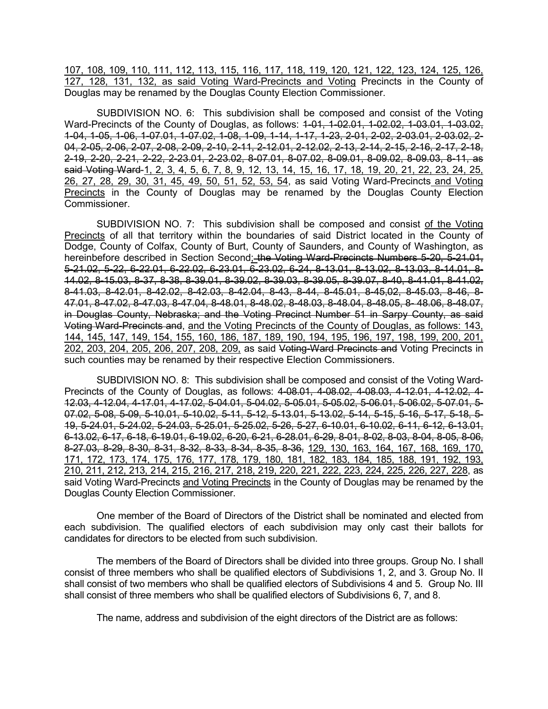107, 108, 109, 110, 111, 112, 113, 115, 116, 117, 118, 119, 120, 121, 122, 123, 124, 125, 126, 127, 128, 131, 132, as said Voting Ward-Precincts and Voting Precincts in the County of Douglas may be renamed by the Douglas County Election Commissioner.

SUBDIVISION NO. 6: This subdivision shall be composed and consist of the Voting Ward-Precincts of the County of Douglas, as follows: 1-01, 1-02.01, 1-02.02, 1-03.01, 1-03.02, 1-04, 1-05, 1-06, 1-07.01, 1-07.02, 1-08, 1-09, 1-14, 1-17, 1-23, 2-01, 2-02, 2-03.01, 2-03.02, 2- 04, 2-05, 2-06, 2-07, 2-08, 2-09, 2-10, 2-11, 2-12.01, 2-12.02, 2-13, 2-14, 2-15, 2-16, 2-17, 2-18, 2-19, 2-20, 2-21, 2-22, 2-23.01, 2-23.02, 8-07.01, 8-07.02, 8-09.01, 8-09.02, 8-09.03, 8-11, as said Voting Ward-1, 2, 3, 4, 5, 6, 7, 8, 9, 12, 13, 14, 15, 16, 17, 18, 19, 20, 21, 22, 23, 24, 25, 26, 27, 28, 29, 30, 31, 45, 49, 50, 51, 52, 53, 54, as said Voting Ward-Precincts and Voting Precincts in the County of Douglas may be renamed by the Douglas County Election Commissioner.

SUBDIVISION NO. 7: This subdivision shall be composed and consist of the Voting Precincts of all that territory within the boundaries of said District located in the County of Dodge, County of Colfax, County of Burt, County of Saunders, and County of Washington, as hereinbefore described in Section Second; the Voting Ward-Precincts Numbers 5-20, 5-21.01, 5-21.02, 5-22, 6-22.01, 6-22.02, 6-23.01, 6-23.02, 6-24, 8-13.01, 8-13.02, 8-13.03, 8-14.01, 8- 14.02, 8-15.03, 8-37, 8-38, 8-39.01, 8-39.02, 8-39.03, 8-39.05, 8-39.07, 8-40, 8-41.01, 8-41.02, 8-41.03, 8-42.01, 8-42.02, 8-42.03, 8-42.04, 8-43, 8-44, 8-45.01, 8-45,02, 8-45.03, 8-46, 8- 47.01, 8-47.02, 8-47.03, 8-47.04, 8-48.01, 8-48.02, 8-48.03, 8-48.04, 8-48.05, 8- 48.06, 8-48.07, in Douglas County, Nebraska; and the Voting Precinct Number 51 in Sarpy County, as said Voting Ward-Precincts and, and the Voting Precincts of the County of Douglas, as follows: 143, 144, 145, 147, 149, 154, 155, 160, 186, 187, 189, 190, 194, 195, 196, 197, 198, 199, 200, 201, 202, 203, 204, 205, 206, 207, 208, 209, as said Voting-Ward Precincts and Voting Precincts in such counties may be renamed by their respective Election Commissioners.

SUBDIVISION NO. 8: This subdivision shall be composed and consist of the Voting Ward-Precincts of the County of Douglas, as follows: 4-08.01, 4-08.02, 4-08.03, 4-12.01, 4-12.02, 4- 12.03, 4-12.04, 4-17.01, 4-17.02, 5-04.01, 5-04.02, 5-05.01, 5-05.02, 5-06.01, 5-06.02, 5-07.01, 5- 07.02, 5-08, 5-09, 5-10.01, 5-10.02, 5-11, 5-12, 5-13.01, 5-13.02, 5-14, 5-15, 5-16, 5-17, 5-18, 5- 19, 5-24.01, 5-24.02, 5-24.03, 5-25.01, 5-25.02, 5-26, 5-27, 6-10.01, 6-10.02, 6-11, 6-12, 6-13.01, 6-13.02, 6-17, 6-18, 6-19.01, 6-19.02, 6-20, 6-21, 6-28.01, 6-29, 8-01, 8-02, 8-03, 8-04, 8-05, 8-06, 8-27.03, 8-29, 8-30, 8-31, 8-32, 8-33, 8-34, 8-35, 8-36, 129, 130, 163, 164, 167, 168, 169, 170, 171, 172, 173, 174, 175, 176, 177, 178, 179, 180, 181, 182, 183, 184, 185, 188, 191, 192, 193, 210, 211, 212, 213, 214, 215, 216, 217, 218, 219, 220, 221, 222, 223, 224, 225, 226, 227, 228, as said Voting Ward-Precincts and Voting Precincts in the County of Douglas may be renamed by the Douglas County Election Commissioner.

One member of the Board of Directors of the District shall be nominated and elected from each subdivision. The qualified electors of each subdivision may only cast their ballots for candidates for directors to be elected from such subdivision.

The members of the Board of Directors shall be divided into three groups. Group No. I shall consist of three members who shall be qualified electors of Subdivisions 1, 2, and 3. Group No. II shall consist of two members who shall be qualified electors of Subdivisions 4 and 5. Group No. III shall consist of three members who shall be qualified electors of Subdivisions 6, 7, and 8.

The name, address and subdivision of the eight directors of the District are as follows: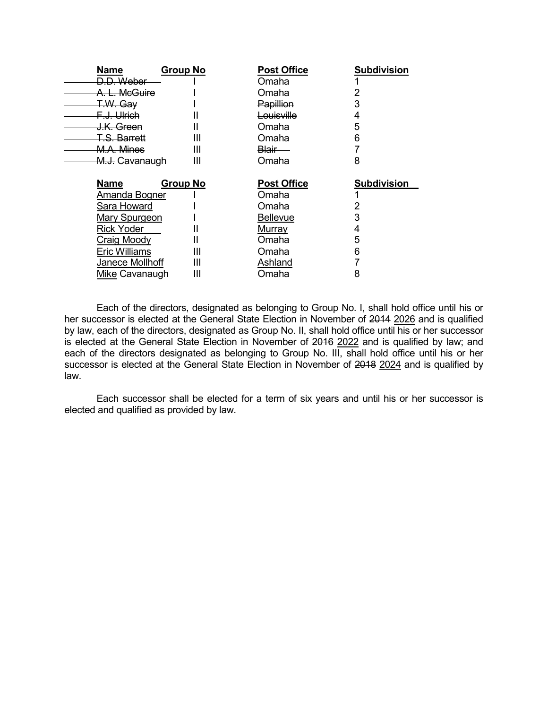| Name                      | <b>Group No</b> | <b>Post Office</b> | <b>Subdivision</b> |
|---------------------------|-----------------|--------------------|--------------------|
| D.D. Weber                |                 | Omaha              |                    |
| A. L. McGuire             |                 | Omaha              |                    |
| <del>T.W. Gay</del>       |                 | Papillion          | 3                  |
| F.J. Ulrich               |                 | Louisville         | 4                  |
| <del>J.K. Green</del>     |                 | Omaha              | 5                  |
| T.S. Barrett              | Ш               | Omaha              | 6                  |
| M.A. Mines                | Ш               | <del>Blair —</del> |                    |
| <del>M.J.</del> Cavanaugh | Ш               | Omaha              | 8                  |
|                           |                 |                    |                    |
|                           |                 |                    |                    |
| Name                      | <b>Group No</b> | <b>Post Office</b> | <b>Subdivision</b> |
| Amanda Bogner             |                 | Omaha              |                    |
| Sara Howard               |                 | Omaha              | 2                  |
| <b>Mary Spurgeon</b>      |                 | <b>Bellevue</b>    | 3                  |
| Rick Yoder                |                 | <b>Murray</b>      | 4                  |
| Craig Moody               |                 | Omaha              | 5                  |
| <b>Eric Williams</b>      | Ш               | Omaha              | 6                  |
| Janece Mollhoff           | Ш               | <b>Ashland</b>     |                    |

Each of the directors, designated as belonging to Group No. I, shall hold office until his or her successor is elected at the General State Election in November of 2014 2026 and is qualified by law, each of the directors, designated as Group No. II, shall hold office until his or her successor is elected at the General State Election in November of 2016 2022 and is qualified by law; and each of the directors designated as belonging to Group No. III, shall hold office until his or her successor is elected at the General State Election in November of 2018 2024 and is qualified by law.

Each successor shall be elected for a term of six years and until his or her successor is elected and qualified as provided by law.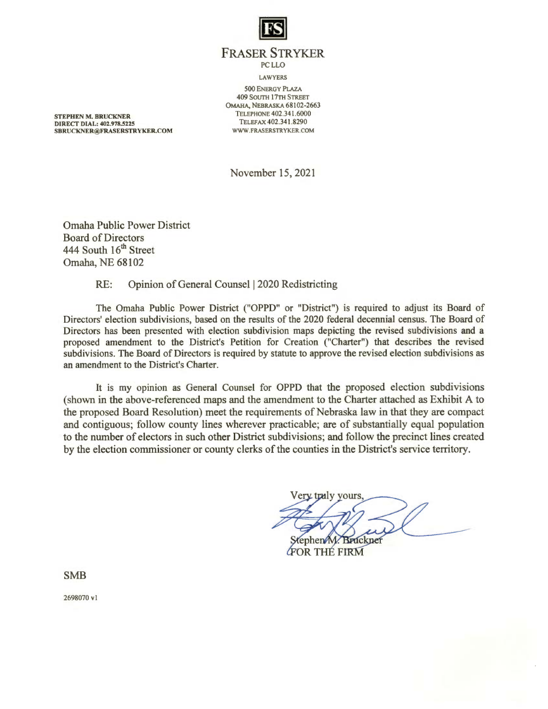

**FRASER STRYKER PCLLO LAWYERS 500 ENERGY PLAZA 409 SOUTH 17TH STREET** OMAHA, NEBRASKA 68102-2663 TELEPHONE 402.341.6000 TELEFAX 402.341.8290 WWW.FRASERSTRYKER.COM

**STEPHEN M. BRUCKNER DIRECT DIAL: 402.978.5225** SBRUCKNER@FRASERSTRYKER.COM

November 15, 2021

**Omaha Public Power District Board of Directors** 444 South 16th Street Omaha, NE 68102

> Opinion of General Counsel | 2020 Redistricting RE:

The Omaha Public Power District ("OPPD" or "District") is required to adjust its Board of Directors' election subdivisions, based on the results of the 2020 federal decennial census. The Board of Directors has been presented with election subdivision maps depicting the revised subdivisions and a proposed amendment to the District's Petition for Creation ("Charter") that describes the revised subdivisions. The Board of Directors is required by statute to approve the revised election subdivisions as an amendment to the District's Charter.

It is my opinion as General Counsel for OPPD that the proposed election subdivisions (shown in the above-referenced maps and the amendment to the Charter attached as Exhibit A to the proposed Board Resolution) meet the requirements of Nebraska law in that they are compact and contiguous; follow county lines wherever practicable; are of substantially equal population to the number of electors in such other District subdivisions; and follow the precinct lines created by the election commissioner or county clerks of the counties in the District's service territory.

Very traly yours ephen M. Bruckner

**FOR THE FIRM** 

**SMB** 

2698070 v1